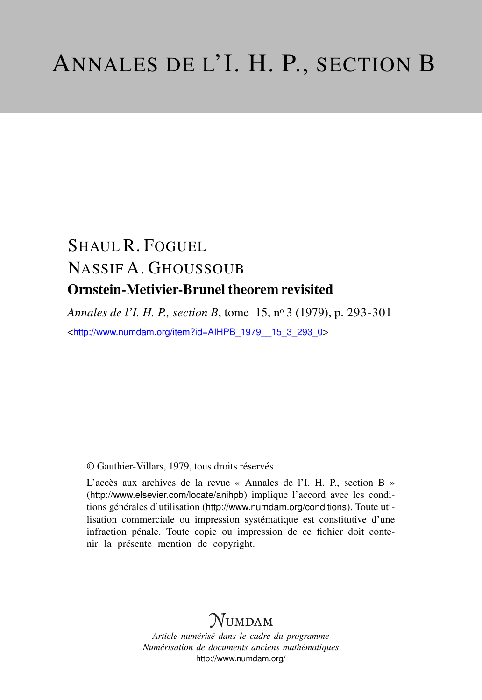# SHAUL R. FOGUEL NASSIF A. GHOUSSOUB Ornstein-Metivier-Brunel theorem revisited

*Annales de l'I. H. P., section B*, tome 15, n<sup>o</sup> 3 (1979), p. 293-301 <[http://www.numdam.org/item?id=AIHPB\\_1979\\_\\_15\\_3\\_293\\_0](http://www.numdam.org/item?id=AIHPB_1979__15_3_293_0)>

© Gauthier-Villars, 1979, tous droits réservés.

L'accès aux archives de la revue « Annales de l'I. H. P., section B » (<http://www.elsevier.com/locate/anihpb>) implique l'accord avec les conditions générales d'utilisation (<http://www.numdam.org/conditions>). Toute utilisation commerciale ou impression systématique est constitutive d'une infraction pénale. Toute copie ou impression de ce fichier doit contenir la présente mention de copyright.

## **NUMDAM**

*Article numérisé dans le cadre du programme Numérisation de documents anciens mathématiques* <http://www.numdam.org/>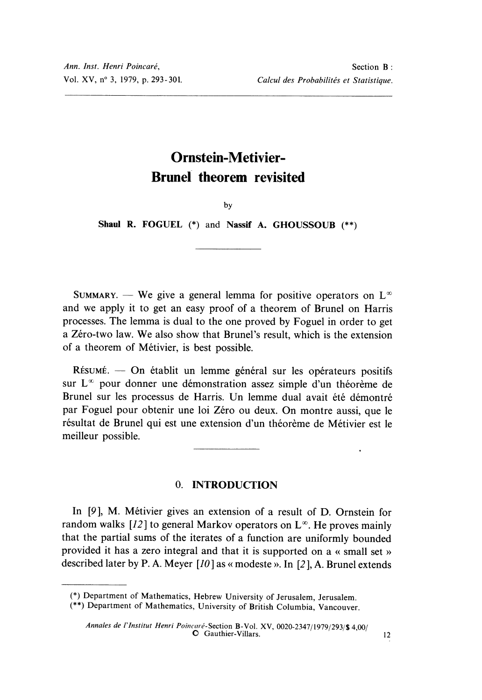## Ornstein-Metivier-Brunel theorem revisited

 $b**v**$ 

Shaul R. FOGUEL (\*) and Nassif A. GHOUSSOUB (\*\*)

SUMMARY. - We give a general lemma for positive operators on  $L^{\infty}$ and we apply it to get an easy proof of a theorem of Brunel on Harris processes. The lemma is dual to the one proved by Foguel in order to get a Zéro-two law. We also show that Brunel's result, which is the extension of a theorem of Métivier, is best possible.

 $R$ ésumé. — On établit un lemme général sur les opérateurs positifs sur  $L^{\infty}$  pour donner une démonstration assez simple d'un théorème de Brunel sur les processus de Harris. Un lemme dual avait été démontré par Foguel pour obtenir une loi Zéro ou deux. On montre aussi, que le résultat de Brunel qui est une extension d'un théorème de Métivier est le meilleur possible.

### 0. INTRODUCTION

In [9], M. Métivier gives an extension of a result of D. Ornstein for random walks [12] to general Markov operators on  $L^{\infty}$ . He proves mainly that the partial sums of the iterates of a function are uniformly bounded provided it has a zero integral and that it is supported on a « small set » described later by P. A. Meyer  $[10]$  as « modeste ». In  $[2]$ , A. Brunel extends

<sup>(\*)</sup> Department of Mathematics, Hebrew University of Jerusalem, Jerusalem.

<sup>(\*\*)</sup> Department of Mathematics, University of British Columbia, Vancouver.

Annales de l'Institut Henri Poincaré-Section B-Vol. XV, 0020-2347/1979/293/\$ 4,00/<br> **O** Gauthier-Villars.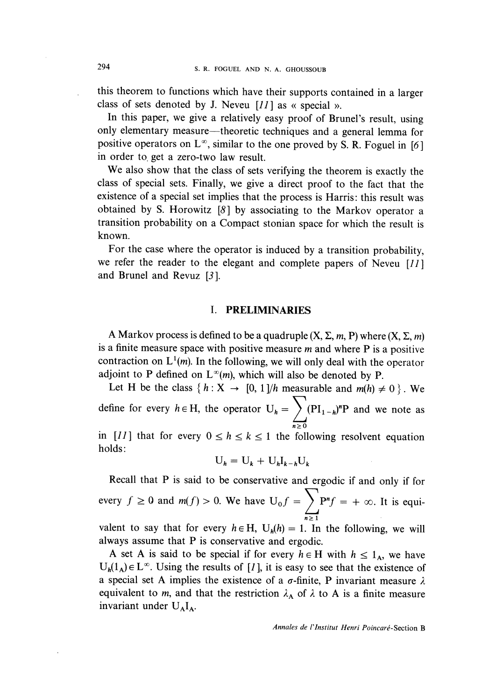this theorem to functions which have their supports contained in a larger class of sets denoted by J. Neveu  $[11]$  as « special ».

In this paper, we give a relatively easy proof of Brunel's result, using only elementary measure—theoretic techniques and a general lemma for positive operators on  $L^{\infty}$ , similar to the one proved by S. R. Foguel in [6] in order to, get a zero-two law result.

We also show that the class of sets verifying the theorem is exactly the class of special sets. Finally, we give a direct proof to the fact that the existence of a special set implies that the process is Harris: this result was obtained by S. Horowitz  $\lceil 8 \rceil$  by associating to the Markov operator a transition probability on a Compact stonian space for which the result is known.

For the case where the operator is induced by a transition probability, we refer the reader to the elegant and complete papers of Neveu  $[11]$ and Brunel and Revuz [3 ].

#### I. PRELIMINARIES

A Markov process is defined to be a quadruple  $(X, \Sigma, m, P)$  where  $(X, \Sigma, m)$ is a finite measure space with positive measure  $m$  and where  $P$  is a positive contraction on  $L^1(m)$ . In the following, we will only deal with the operator adjoint to P defined on  $L^{\infty}(m)$ , which will also be denoted by P.

Let H be the class  $\{h: X \rightarrow [0, 1]/h$  measurable and  $m(h) \neq 0$ . We define for every  $h \in H$ , the operator  $U_h = \sum_{n \geq 0} (PI_{1-h})^n P$  and we note as

in [11] that for every  $0 \le h \le k \le 1$  the following resolvent equation holds:

$$
U_h = U_k + U_h I_{k-h} U_k
$$

Recall that P is said to be conservative and ergodic if and only if for every  $f \ge 0$  and  $m(f) > 0$ . We have  $U_0 f = \sum P^n f = +\infty$ . It is equi-

valent to say that for every  $h \in H$ ,  $U_h(h) = 1$ . In the following, we will always assume that P is conservative and ergodic.

A set A is said to be special if for every  $h \in H$  with  $h \le 1_A$ , we have  $U_h(1_A) \in L^{\infty}$ . Using the results of [1], it is easy to see that the existence of a special set A implies the existence of a  $\sigma$ -finite, P invariant measure  $\lambda$ equivalent to m, and that the restriction  $\lambda_A$  of  $\lambda$  to A is a finite measure invariant under  $U_A I_A$ .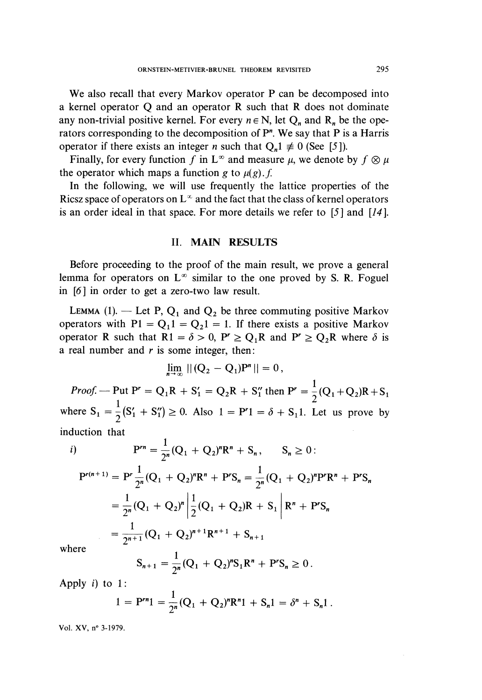We also recall that every Markov operator P can be decomposed into a kernel operator Q and an operator R such that R does not dominate any non-trivial positive kernel. For every  $n \in N$ , let  $Q_n$  and  $R_n$  be the operators corresponding to the decomposition of P". We say that P is a Harris operator if there exists an integer *n* such that  $Q_n 1 \neq 0$  (See [5]).

Finally, for every function f in  $L^{\infty}$  and measure  $\mu$ , we denote by  $f \otimes \mu$ the operator which maps a function g to  $\mu(g)$ . f.

In the following, we will use frequently the lattice properties of the Ricsz space of operators on  $L^{\infty}$  and the fact that the class of kernel operators is an order ideal in that space. For more details we refer to [5 ] and [14 ].

#### II. MAIN RESULTS

Before proceeding to the proof of the main result, we prove a general lemma for operators on  $L^{\infty}$  similar to the one proved by S. R. Foguel in [6] in order to get a zero-two law result.

LEMMA (1). — Let P,  $Q_1$  and  $Q_2$  be three commuting positive Markov operators with  $PI = Q_11 = Q_21 = 1$ . If there exists a positive Markov operator R such that  $R1 = \delta > 0$ ,  $P' \ge Q_1R$  and  $P' \ge Q_2R$  where  $\delta$  is a real number and  $r$  is some integer, then:

$$
\lim_{n \to \infty} ||(Q_2 - Q_1)P^n|| = 0,
$$

*Proof.* --- Put  $P^r = Q_1R + S_1' = Q_2R + S_1''$  then  $P^r = \frac{1}{2}(Q_1 + Q_2)R + S_1$  $1$  (c) c  $\sim$  2  $\sim$  2  $\sim$  2  $\sim$  2  $\sim$  2  $\sim$  2  $\sim$  2  $\sim$  2  $\sim$  2  $\sim$  2  $\sim$  2  $\sim$  2  $\sim$  2  $\sim$  2  $\sim$  2  $\sim$  2  $\sim$  2  $\sim$  2  $\sim$  2  $\sim$  2  $\sim$  2  $\sim$  2  $\sim$  2  $\sim$  2  $\sim$  2  $\sim$  2  $\sim$  2  $\sim$  2  $\sim$  2  $\sim$  2 where  $S_1 = \frac{1}{2}(S_1' + S_1'') \ge 0$ . Also  $1 = P'1 = \delta + S_1 1$ . Let us prove by induction that

i) 
$$
P^{rn} = \frac{1}{2^n} (Q_1 + Q_2)^n R^n + S_n, \qquad S_n \geq 0:
$$

$$
P^{r(n+1)} = P^r \frac{1}{2^n} (Q_1 + Q_2)^n R^n + P^r S_n = \frac{1}{2^n} (Q_1 + Q_2)^n P^r R^n + P^r S_n
$$
  
=  $\frac{1}{2^n} (Q_1 + Q_2)^n \left| \frac{1}{2} (Q_1 + Q_2) R + S_1 \right| R^n + P^r S_n$   
=  $\frac{1}{2^{n+1}} (Q_1 + Q_2)^{n+1} R^{n+1} + S_{n+1}$   
re

whe

$$
S_{n+1} = \frac{1}{2^n} (Q_1 + Q_2)^n S_1 R^n + P^r S_n \ge 0.
$$

Apply i) to 1:

$$
1 = P^{rn}1 = \frac{1}{2^n}(Q_1 + Q_2)^n R^n 1 + S_n 1 = \delta^n + S_n 1.
$$

Vol. XV, n° 3-1979.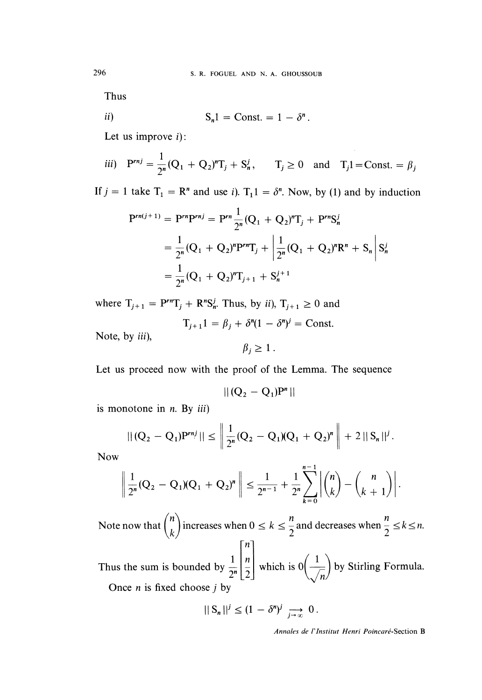Thus

$$
ii) \tSn1 = Const. = 1 - \deltan
$$

Let us improve  $i$ :

$$
iii) \quad \mathbf{P}^{rnj} = \frac{1}{2^n} (\mathbf{Q}_1 + \mathbf{Q}_2)^n \mathbf{T}_j + \mathbf{S}_n^j, \qquad \mathbf{T}_j \ge 0 \quad \text{and} \quad \mathbf{T}_j \mathbf{1} = \text{Const.} = \beta_j
$$

If  $j = 1$  take  $T_1 = R^n$  and use i).  $T_1 = \delta^n$ . Now, by (1) and by induction

$$
P^{rn(j+1)} = P^{rn}P^{rnj} = P^{rn} \frac{1}{2^n} (Q_1 + Q_2)^n T_j + P^{rn} S_n^j
$$
  
=  $\frac{1}{2^n} (Q_1 + Q_2)^n P^{rn} T_j + \left| \frac{1}{2^n} (Q_1 + Q_2)^n R^n + S_n \right| S_n^j$   
=  $\frac{1}{2^n} (Q_1 + Q_2)^n T_{j+1} + S_n^{j+1}$ 

where  $T_{j+1} = P^{rn}T_j + R^nS_n^j$ . Thus, by ii),  $T_{j+1} \ge 0$  and

$$
\Gamma_{j+1}1 = \beta_j + \delta^n(1 - \delta^n)^j = \text{Const.}
$$

Note, by *iii*),

$$
\beta_j \geq 1.
$$

Let us proceed now with the proof of the Lemma. The sequence

$$
||(Q_2-Q_1)P^n||
$$

is monotone in  $n$ . By *iii*)

$$
\| (Q_2 - Q_1) P^{rnj} \| \le \left\| \frac{1}{2^n} (Q_2 - Q_1)(Q_1 + Q_2)^n \right\| + 2 \| S_n \|^{j}.
$$

Now

$$
\left\| \frac{1}{2^n} (Q_2 - Q_1)(Q_1 + Q_2)^n \right\| \leq \frac{1}{2^{n-1}} + \frac{1}{2^n} \sum_{k=0}^{n-1} \left| \binom{n}{k} - \binom{n}{k+1} \right|.
$$

Note now that  $\binom{n}{k}$  increases when  $0 \le k \le \frac{n}{2}$  and decreases when  $\frac{n}{2} \le k \le n$ .  $\boldsymbol{n}$ Thus the sum is bounded by  $\frac{1}{2^n} \left( \frac{1}{2} \right)$  which is  $0 \left( \frac{1}{\sqrt{n}} \right)$  by Stirling Formula. Once  $n$  is fixed choose  $j$  by

$$
||S_n||^j \leq (1-\delta^n)^j \implies 0
$$

Annales de l'Institut Henri Poincaré-Section B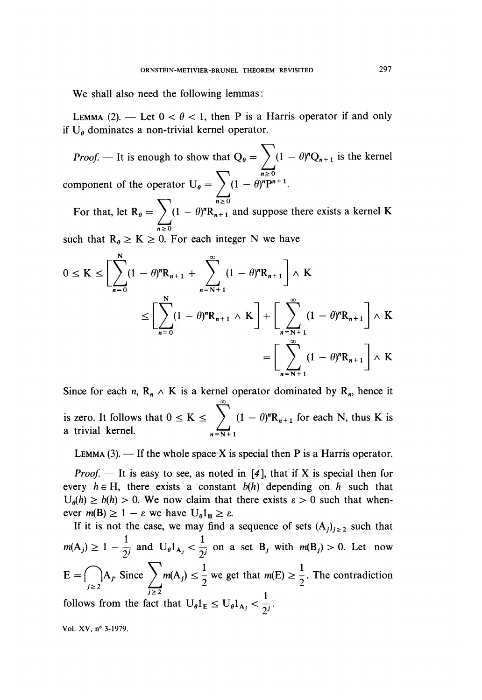We shall also need the following lemmas :

LEMMA (2). — Let  $0 < \theta < 1$ , then P is a Harris operator if and only if  $U_{\theta}$  dominates a non-trivial kernel operator.

*Proof.* — It is enough to show that  $Q_{\theta} = \sum_{n=1}^{n} (1 - \theta)^n Q_{n+1}$  is the kernel component of the operator  $U_{\theta} = \sum_{n=0}^{\infty} (1 - \theta)^n P^n$ For that, let  $R_{\theta} = \sum_{n\geq 0} (1 - \theta)^n R_{n+1}$  and suppose there exists a kernel K

such that  $R_{\theta} \geq K \geq 0$ . For each integer N we have

$$
0 \le K \le \left[\sum_{n=0}^{N} (1 - \theta)^n R_{n+1} + \sum_{n=N+1}^{\infty} (1 - \theta)^n R_{n+1}\right] \wedge K
$$
  

$$
\le \left[\sum_{n=0}^{N} (1 - \theta)^n R_{n+1} \wedge K\right] + \left[\sum_{n=N+1}^{\infty} (1 - \theta)^n R_{n+1}\right] \wedge K
$$
  

$$
= \left[\sum_{n=N+1}^{\infty} (1 - \theta)^n R_{n+1}\right] \wedge K
$$

Since for each n,  $R_n \wedge K$  is a kernel operator dominated by  $R_n$ , hence it is zero. It follows that  $0 \le K \le \sum_{n=1}^{\infty} (1 - \theta)^n R_{n+1}$  for each N, thus K is a trivial kernel.  $n=N+1$ 

LEMMA  $(3)$ . - If the whole space X is special then P is a Harris operator.

*Proof.*  $-$  It is easy to see, as noted in [4], that if X is special then for every  $h \in H$ , there exists a constant  $b(h)$  depending on h such that  $U_{\theta}(h) \ge b(h) > 0$ . We now claim that there exists  $\varepsilon > 0$  such that whenever  $m(B) \ge 1 - \varepsilon$  we have  $U_{\theta}1_B \ge \varepsilon$ .

If it is not the case, we may find a sequence of sets  $(A_i)_{i\geq 2}$  such that  $m(A_j) \geq 1 - \frac{1}{2^j}$  and  $U_{\theta} 1_{A_j} < \frac{1}{2^j}$  on a set  $B_j$  with  $m(B_j) > 0$ . Let now  $E = \bigcap_{j \geq 2} A_j$ . Since  $\sum m(A_j) \leq \frac{1}{2}$  we get that  $m(E) \geq \frac{1}{2}$ . The contradiction

follows from the fact that  $U_{\theta} 1_{E} \leq U_{\theta} 1_{A_{j}} < \frac{1}{2^{j}}$ .

Vol. XV, n° 3-1979.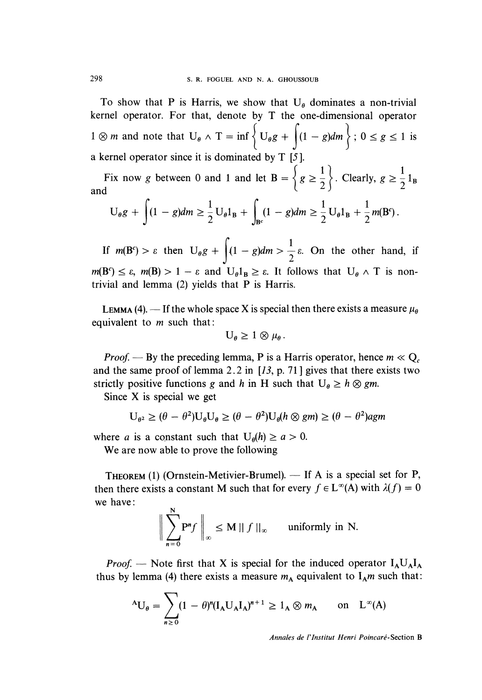To show that P is Harris, we show that  $U_{\theta}$  dominates a non-trivial kernel operator. For that, denote by T the one-dimensional operator  $1 \otimes m$  and note that  $U_{\theta} \wedge T = \inf \left\{ U_{\theta} g + \left( (1 - g) dm \right) : 0 \le g \le 1 \text{ is } \right\}$ a kernel operator since it is dominated by T [5 ].

Fix now g between 0 and 1 and let  $B = \left\{ g \ge \frac{1}{2} \right\}$ . Clearly,  $g \ge \frac{1}{2} 1_B$ <br>and  $\left\{ (1 - g) \right\}_{m \ge 0} \left\{ 1 + \left( (1 - g) \right) \right\}_{m \ge 0} \right\}_{m \ge 0}$ 

$$
U_{\theta}g + \int (1-g)dm \geq \frac{1}{2}U_{\theta}1_{B} + \int_{B^{c}} (1-g)dm \geq \frac{1}{2}U_{\theta}1_{B} + \frac{1}{2}m(B^{c}).
$$

If  $m(B^c) > \varepsilon$  then  $U_{\theta}g + \left(1 - g\right)dm > \frac{1}{2}\varepsilon$ . On the other hand, if  $m(B^c) \leq \varepsilon$ ,  $m(B) > 1 - \varepsilon$  and  $U_\theta I_B \geq \varepsilon$ . It follows that  $U_\theta \wedge T$  is nontrivial and lemma (2) yields that P is Harris.

**LEMMA** (4). - If the whole space X is special then there exists a measure  $\mu_{\theta}$ equivalent to  $m$  such that:

$$
U_{\theta} \geq 1 \otimes \mu_{\theta}.
$$

*Proof.* — By the preceding lemma, P is a Harris operator, hence  $m \ll Q_c$ and the same proof of lemma 2.2 in  $[13, p. 71]$  gives that there exists two strictly positive functions g and h in H such that  $U_{\theta} \geq h \otimes gm$ .

Since X is special we get

$$
U_{\theta^2} \geq (\theta - \theta^2) U_{\theta} U_{\theta} \geq (\theta - \theta^2) U_{\theta} (h \otimes g m) \geq (\theta - \theta^2) agm
$$

where a is a constant such that  $U_{\theta}(h) \ge a > 0$ .

We are now able to prove the following

THEOREM (1) (Ornstein-Metivier-Brumel).  $-$  If A is a special set for P, then there exists a constant M such that for every  $f \in L^{\infty}(A)$  with  $\lambda(f) = 0$ we have : k)

$$
\bigg\|\sum_{n=0}^N P^n f\bigg\|_{\infty} \le M \,||\,f\,||_{\infty} \qquad \text{uniformly in N.}
$$

*Proof.* — Note first that X is special for the induced operator  $I_A U_A I_A$ thus by lemma (4) there exists a measure  $m_A$  equivalent to  $I_A m$  such that:

$$
{}^{A}U_{\theta} = \sum_{n\geq 0} (1 - \theta)^{n} (I_{A}U_{A}I_{A})^{n+1} \geq 1_{A} \otimes m_{A} \quad \text{on} \quad L^{\infty}(A)
$$

Annales de I'Institut Henri Poincaré-Section B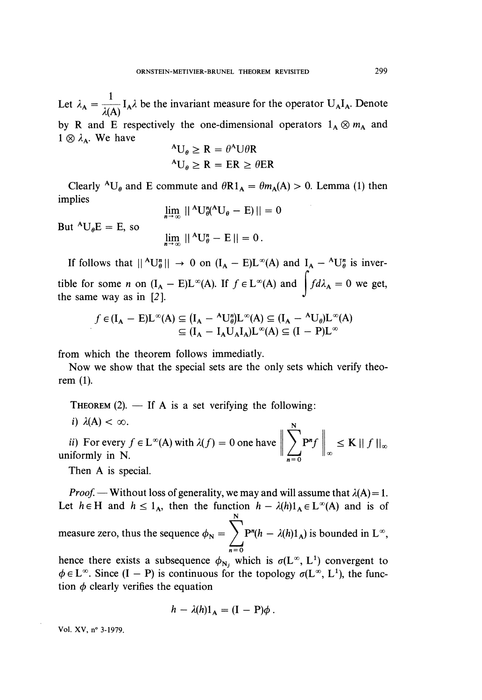Let  $\lambda_A = \frac{1}{\lambda(A)} I_A \lambda$  be the invariant measure for the operator  $U_A I_A$ . Denote by R and E respectively the one-dimensional operators  $1_A \otimes m_A$  and  $1 \otimes \lambda_A$ . We have

$$
^A U_{\theta} \ge R = \theta^A U \theta R
$$

$$
^A U_{\theta} \ge R = ER \ge \theta ER
$$

Clearly <sup>A</sup>U<sub>e</sub> and E commute and  $\theta R1_A = \theta m_A(A) > 0$ . Lemma (1) then implies

$$
\lim_{n \to \infty} \|\Delta U_{\theta}^n(\Delta U_{\theta} - \mathbf{E})\| = 0
$$
  

$$
\lim_{n \to \infty} \|\Delta U_{\theta}^n - \mathbf{E}\| = 0.
$$

But  ${}^AU_0E = E$ , so

If follows that  $||^A U_{\theta}^n|| \to 0$  on  $(I_A - E)L^{\infty}(A)$  and  $I_A - {}^A U_{\theta}^n$  is invertible for some *n* on  $(I_A - E)L^{\infty}(A)$ . If  $f \in L^{\infty}(A)$  and  $\int f d\lambda_A = 0$  we get, the same way as in  $[2]$ .

$$
f \in (I_A - E)L^{\infty}(A) \subseteq (I_A - {}^A U^{\prime\prime}_{\theta})L^{\infty}(A) \subseteq (I_A - {}^A U_{\theta})L^{\infty}(A)
$$

$$
\subseteq (I_A - I_A U_A I_A)L^{\infty}(A) \subseteq (I - P)L^{\infty}
$$

from which the theorem follows immediatly.

Now we show that the special sets are the only sets which verify theorem (1).

THEOREM  $(2)$ . - If A is a set verifying the following:

 $i)$   $\lambda(A) < \infty$ .

*ii*) For every  $f \in L^{\infty}(A)$  with  $\lambda(f) = 0$  one have  $\left\| \sum_{n=0}^{\infty} P^n f \right\|_{\infty} \leq K \left\| f \right\|_{\infty}$  uniformly in N.

Then A is special.

*Proof.* — Without loss of generality, we may and will assume that  $\lambda(A) = 1$ . Let  $h \in H$  and  $h \leq 1_A$ , then the function  $h - \lambda(h)1_A \in L^{\infty}(A)$  and is of measure zero, thus the sequence  $\phi_N = \sum_{n=0}^{N} P^n(h - \lambda(h)1_A)$  is bounded in  $L^{\infty}$ ,

hence there exists a subsequence  $\phi_{N_i}$  which is  $\sigma(L^\infty, L^1)$  convergent to  $\phi \in L^{\infty}$ . Since  $(I - P)$  is continuous for the topology  $\sigma(L^{\infty}, L^{1})$ , the function  $\phi$  clearly verifies the equation

$$
h - \lambda(h)1_A = (I - P)\phi.
$$

Vol. XV, n° 3-1979.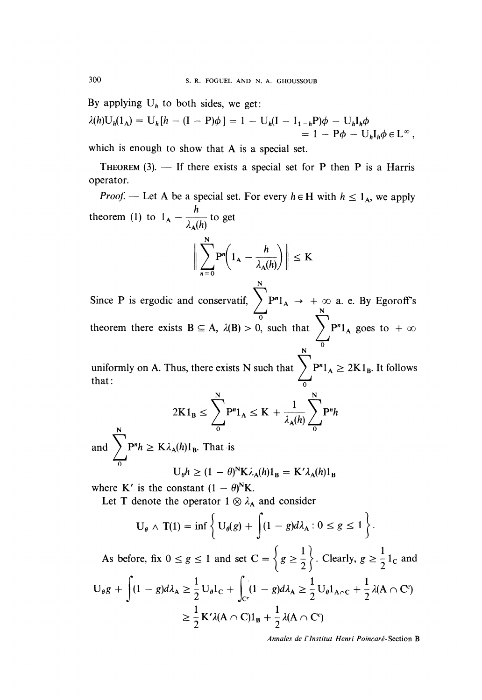By applying  $U_h$  to both sides, we get:

$$
\lambda(h)U_h(1_A) = U_h[h - (I - P)\phi] = 1 - U_h(I - I_{1-h}P)\phi - U_hI_h\phi
$$
  
= 1 - P\phi - U\_hI\_h\phi \in L^{\infty},

which is enough to show that A is a special set.

THEOREM  $(3)$ . - If there exists a special set for P then P is a Harris operator.

*Proof.* — Let A be a special set. For every  $h \in H$  with  $h \le 1_A$ , we apply theorem (1) to  $1_A - \frac{h}{\lambda_A(h)}$  to get

$$
\bigg\|\sum_{n=0}^{N}P^{n}\bigg(1_{A}-\frac{h}{\lambda_{A}(h)}\bigg)\bigg\| \leq K
$$

Since P is ergodic and conservatif,  $\sum P^n 1_A \rightarrow +\infty$  a. e. By Egoroff's theorem there exists  $B \subseteq A$ ,  $\lambda(B) > 0$ , such that  $\sum_{i=1}^{n} P^{n} 1_{A}$  goes to  $+\infty$  $N$  0

uniformly on A. Thus, there exists N such that  $\sum_{0} P^{n} 1_{A} \ge 2K1_{B}$ . It follows that :

$$
2K1_B \le \sum_{0}^{N} P^{n}1_A \le K + \frac{1}{\lambda_A(h)} \sum_{0}^{N} P^{n}h
$$

and  $\sum_{n=0}^{\infty} P^n h \geq K \lambda_A(h) 1_B$ . That is

$$
U_{\theta}h \ge (1 - \theta)^{N} K \lambda_{A}(h) 1_{B} = K' \lambda_{A}(h) 1_{B}
$$

where K' is the constant  $(1 - \theta)^N K$ .

Let T denote the operator  $1 \otimes \lambda_A$  and consider

$$
U_{\theta} \wedge T(1) = \inf \left\{ U_{\theta}(g) + \int (1 - g) d\lambda_A : 0 \le g \le 1 \right\}.
$$

As before, fix  $0 \le g \le 1$  and set  $C = \left\{ g \ge \frac{1}{2} \right\}$ . Clearly,  $g \ge \frac{1}{2} 1_c$  and<br>  $U_{\theta}g + \int (1 - g)d\lambda_A \ge \frac{1}{2}U_{\theta}1_c + \int_{C_1} (1 - g)d\lambda_A \ge \frac{1}{2}U_{\theta}1_{A \cap C} + \frac{1}{2}\lambda(A \cap C^c)$  $\geq \frac{1}{2} K' \lambda(A \cap C) 1_B + \frac{1}{2} \lambda(A \cap C')$ 

Annales de l'Institut Henri Poincaré-Section B